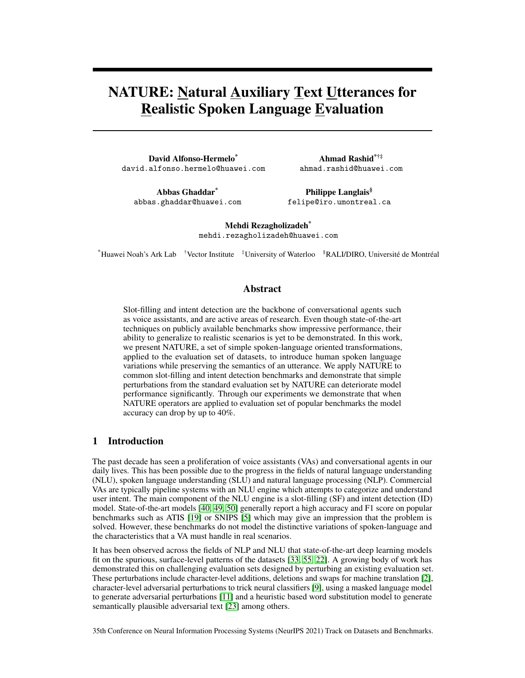# NATURE: Natural Auxiliary Text Utterances for Realistic Spoken Language Evaluation

David Alfonso-Hermelo\* david.alfonso.hermelo@huawei.com

Ahmad Rashid\*†‡ ahmad.rashid@huawei.com

Abbas Ghaddar\* abbas.ghaddar@huawei.com

Philippe Langlais§ felipe@iro.umontreal.ca

Mehdi Rezagholizadeh\* mehdi.rezagholizadeh@huawei.com

\*Huawei Noah's Ark Lab †Vector Institute ‡University of Waterloo §RALI/DIRO, Université de Montréal

### Abstract

Slot-filling and intent detection are the backbone of conversational agents such as voice assistants, and are active areas of research. Even though state-of-the-art techniques on publicly available benchmarks show impressive performance, their ability to generalize to realistic scenarios is yet to be demonstrated. In this work, we present NATURE, a set of simple spoken-language oriented transformations, applied to the evaluation set of datasets, to introduce human spoken language variations while preserving the semantics of an utterance. We apply NATURE to common slot-filling and intent detection benchmarks and demonstrate that simple perturbations from the standard evaluation set by NATURE can deteriorate model performance significantly. Through our experiments we demonstrate that when NATURE operators are applied to evaluation set of popular benchmarks the model accuracy can drop by up to 40%.

### 1 Introduction

The past decade has seen a proliferation of voice assistants (VAs) and conversational agents in our daily lives. This has been possible due to the progress in the fields of natural language understanding (NLU), spoken language understanding (SLU) and natural language processing (NLP). Commercial VAs are typically pipeline systems with an NLU engine which attempts to categorize and understand user intent. The main component of the NLU engine is a slot-filling (SF) and intent detection (ID) model. State-of-the-art models [\[40,](#page-11-0) [49,](#page-12-0) [50\]](#page-12-1) generally report a high accuracy and F1 score on popular benchmarks such as ATIS [\[19\]](#page-10-0) or SNIPS [\[5\]](#page-10-1) which may give an impression that the problem is solved. However, these benchmarks do not model the distinctive variations of spoken-language and the characteristics that a VA must handle in real scenarios.

It has been observed across the fields of NLP and NLU that state-of-the-art deep learning models fit on the spurious, surface-level patterns of the datasets [\[33,](#page-11-1) [55,](#page-12-2) [22\]](#page-10-2). A growing body of work has demonstrated this on challenging evaluation sets designed by perturbing an existing evaluation set. These perturbations include character-level additions, deletions and swaps for machine translation [\[2\]](#page-9-0), character-level adversarial perturbations to trick neural classifiers [\[9\]](#page-10-3), using a masked language model to generate adversarial perturbations [\[11\]](#page-10-4) and a heuristic based word substitution model to generate semantically plausible adversarial text [\[23\]](#page-11-2) among others.

35th Conference on Neural Information Processing Systems (NeurIPS 2021) Track on Datasets and Benchmarks.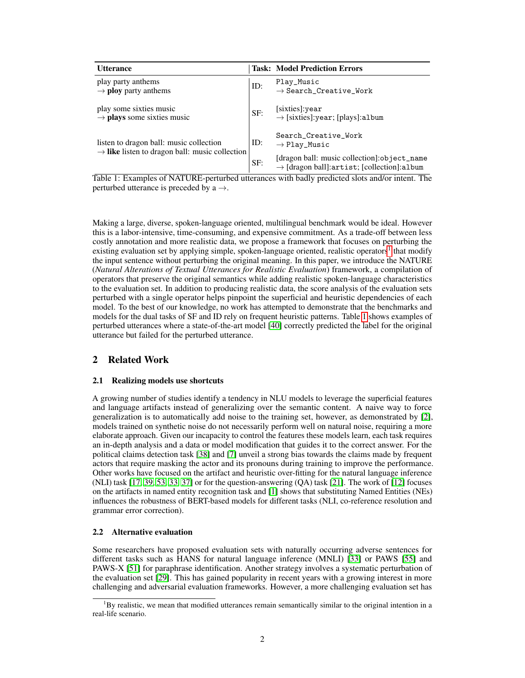<span id="page-1-1"></span>

| <b>Utterance</b>                                                                                      |     | <b>Task: Model Prediction Errors</b>                                                                    |
|-------------------------------------------------------------------------------------------------------|-----|---------------------------------------------------------------------------------------------------------|
| play party anthems<br>$\rightarrow$ ploy party anthems                                                | ID: | Play_Music<br>$\rightarrow$ Search_Creative_Work                                                        |
| play some sixties music<br>$\rightarrow$ plays some sixties music                                     | SF: | [sixties]: year<br>$\rightarrow$ [sixties]: year; [plays]: album                                        |
| listen to dragon ball: music collection<br>$\rightarrow$ like listen to dragon ball: music collection |     | Search_Creative_Work<br>$\rightarrow$ Play_Music                                                        |
|                                                                                                       | SF: | [dragon ball: music collection]:object_name<br>$\rightarrow$ [dragon ball]: artist; [collection]: album |

Table 1: Examples of NATURE-perturbed utterances with badly predicted slots and/or intent. The perturbed utterance is preceded by  $a \rightarrow$ .

Making a large, diverse, spoken-language oriented, multilingual benchmark would be ideal. However this is a labor-intensive, time-consuming, and expensive commitment. As a trade-off between less costly annotation and more realistic data, we propose a framework that focuses on perturbing the existing evaluation set by applying simple, spoken-language oriented, realistic operators<sup>[1](#page-1-0)</sup> that modify the input sentence without perturbing the original meaning. In this paper, we introduce the NATURE (*Natural Alterations of Textual Utterances for Realistic Evaluation*) framework, a compilation of operators that preserve the original semantics while adding realistic spoken-language characteristics to the evaluation set. In addition to producing realistic data, the score analysis of the evaluation sets perturbed with a single operator helps pinpoint the superficial and heuristic dependencies of each model. To the best of our knowledge, no work has attempted to demonstrate that the benchmarks and models for the dual tasks of SF and ID rely on frequent heuristic patterns. Table [1](#page-1-1) shows examples of perturbed utterances where a state-of-the-art model [\[40\]](#page-11-0) correctly predicted the label for the original utterance but failed for the perturbed utterance.

# 2 Related Work

### 2.1 Realizing models use shortcuts

A growing number of studies identify a tendency in NLU models to leverage the superficial features and language artifacts instead of generalizing over the semantic content. A naive way to force generalization is to automatically add noise to the training set, however, as demonstrated by [\[2\]](#page-9-0), models trained on synthetic noise do not necessarily perform well on natural noise, requiring a more elaborate approach. Given our incapacity to control the features these models learn, each task requires an in-depth analysis and a data or model modification that guides it to the correct answer. For the political claims detection task [\[38\]](#page-11-3) and [\[7\]](#page-10-5) unveil a strong bias towards the claims made by frequent actors that require masking the actor and its pronouns during training to improve the performance. Other works have focused on the artifact and heuristic over-fitting for the natural language inference (NLI) task [\[17,](#page-10-6) [39,](#page-11-4) [53,](#page-12-3) [33,](#page-11-1) [37\]](#page-11-5) or for the question-answering (QA) task [\[21\]](#page-10-7). The work of [\[12\]](#page-10-8) focuses on the artifacts in named entity recognition task and [\[1\]](#page-9-1) shows that substituting Named Entities (NEs) influences the robustness of BERT-based models for different tasks (NLI, co-reference resolution and grammar error correction).

### 2.2 Alternative evaluation

Some researchers have proposed evaluation sets with naturally occurring adverse sentences for different tasks such as HANS for natural language inference (MNLI) [\[33\]](#page-11-1) or PAWS [\[55\]](#page-12-2) and PAWS-X [\[51\]](#page-12-4) for paraphrase identification. Another strategy involves a systematic perturbation of the evaluation set [\[29\]](#page-11-6). This has gained popularity in recent years with a growing interest in more challenging and adversarial evaluation frameworks. However, a more challenging evaluation set has

<span id="page-1-0"></span> ${}^{1}$ By realistic, we mean that modified utterances remain semantically similar to the original intention in a real-life scenario.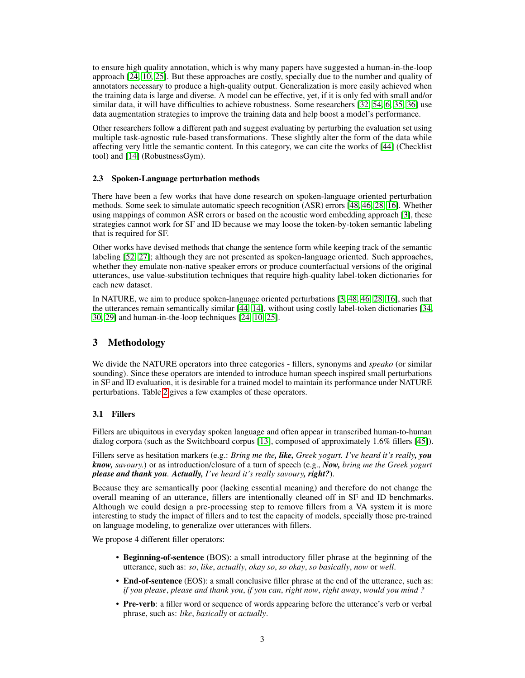to ensure high quality annotation, which is why many papers have suggested a human-in-the-loop approach [\[24,](#page-11-7) [10,](#page-10-9) [25\]](#page-11-8). But these approaches are costly, specially due to the number and quality of annotators necessary to produce a high-quality output. Generalization is more easily achieved when the training data is large and diverse. A model can be effective, yet, if it is only fed with small and/or similar data, it will have difficulties to achieve robustness. Some researchers [\[32,](#page-11-9) [54,](#page-12-5) [6,](#page-10-10) [35,](#page-11-10) [36\]](#page-11-11) use data augmentation strategies to improve the training data and help boost a model's performance.

Other researchers follow a different path and suggest evaluating by perturbing the evaluation set using multiple task-agnostic rule-based transformations. These slightly alter the form of the data while affecting very little the semantic content. In this category, we can cite the works of [\[44\]](#page-12-6) (Checklist tool) and [\[14\]](#page-10-11) (RobustnessGym).

### 2.3 Spoken-Language perturbation methods

There have been a few works that have done research on spoken-language oriented perturbation methods. Some seek to simulate automatic speech recognition (ASR) errors [\[48,](#page-12-7) [46,](#page-12-8) [28,](#page-11-12) [16\]](#page-10-12). Whether using mappings of common ASR errors or based on the acoustic word embedding approach [\[3\]](#page-9-2), these strategies cannot work for SF and ID because we may loose the token-by-token semantic labeling that is required for SF.

Other works have devised methods that change the sentence form while keeping track of the semantic labeling [\[52,](#page-12-9) [27\]](#page-11-13); although they are not presented as spoken-language oriented. Such approaches, whether they emulate non-native speaker errors or produce counterfactual versions of the original utterances, use value-substitution techniques that require high-quality label-token dictionaries for each new dataset.

In NATURE, we aim to produce spoken-language oriented perturbations [\[3,](#page-9-2) [48,](#page-12-7) [46,](#page-12-8) [28,](#page-11-12) [16\]](#page-10-12), such that the utterances remain semantically similar [\[44,](#page-12-6) [14\]](#page-10-11). without using costly label-token dictionaries [\[34,](#page-11-14) [30,](#page-11-15) [29\]](#page-11-6) and human-in-the-loop techniques [\[24,](#page-11-7) [10,](#page-10-9) [25\]](#page-11-8).

### <span id="page-2-0"></span>3 Methodology

We divide the NATURE operators into three categories - fillers, synonyms and *speako* (or similar sounding). Since these operators are intended to introduce human speech inspired small perturbations in SF and ID evaluation, it is desirable for a trained model to maintain its performance under NATURE perturbations. Table [2](#page-3-0) gives a few examples of these operators.

### 3.1 Fillers

Fillers are ubiquitous in everyday spoken language and often appear in transcribed human-to-human dialog corpora (such as the Switchboard corpus [\[13\]](#page-10-13), composed of approximately 1.6% fillers [\[45\]](#page-12-10)).

Fillers serve as hesitation markers (e.g.: *Bring me the, like, Greek yogurt. I've heard it's really, you know, savoury.*) or as introduction/closure of a turn of speech (e.g., *Now, bring me the Greek yogurt please and thank you. Actually, I've heard it's really savoury, right?*).

Because they are semantically poor (lacking essential meaning) and therefore do not change the overall meaning of an utterance, fillers are intentionally cleaned off in SF and ID benchmarks. Although we could design a pre-processing step to remove fillers from a VA system it is more interesting to study the impact of fillers and to test the capacity of models, specially those pre-trained on language modeling, to generalize over utterances with fillers.

We propose 4 different filler operators:

- Beginning-of-sentence (BOS): a small introductory filler phrase at the beginning of the utterance, such as: *so*, *like*, *actually*, *okay so*, *so okay*, *so basically*, *now* or *well*.
- End-of-sentence (EOS): a small conclusive filler phrase at the end of the utterance, such as: *if you please*, *please and thank you*, *if you can*, *right now*, *right away*, *would you mind ?*
- Pre-verb: a filler word or sequence of words appearing before the utterance's verb or verbal phrase, such as: *like*, *basically* or *actually*.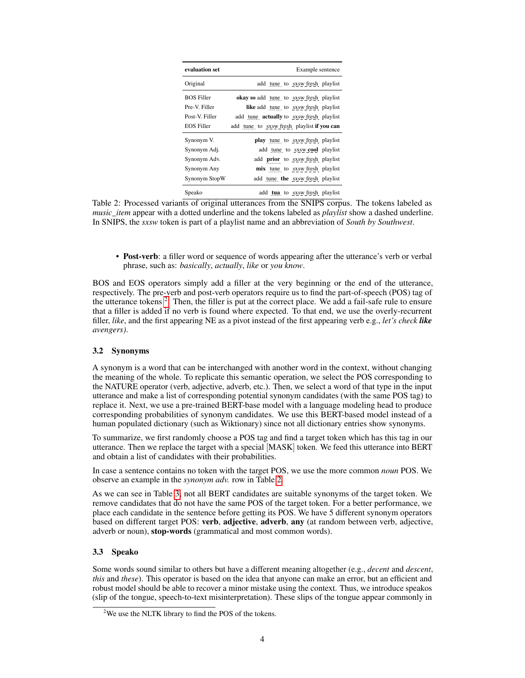<span id="page-3-0"></span>

| evaluation set                     | Example sentence                                                                       |
|------------------------------------|----------------------------------------------------------------------------------------|
| Original                           | add tune to sxsw fresh playlist                                                        |
| <b>BOS Filler</b><br>Pre-V. Filler | <b>okay</b> so add tune to sxsw fresh playlist<br>like add tune to sxsw fresh playlist |
| Post-V. Filler                     | add tune <b>actually</b> to sxsw fresh playlist                                        |
| <b>EOS Filler</b>                  | add tune to sxsw fresh playlist if you can                                             |
| Synonym V.                         | play tune to sxsw fresh playlist                                                       |
| Synonym Adj.                       | add tune to sxsw cool playlist                                                         |
| Synonym Adv.                       | add <b>prior</b> to sxsw fresh playlist                                                |
| Synonym Any                        | mix tune to sxsw fresh playlist                                                        |
| Synonym StopW                      | add tune the sxsw fresh playlist                                                       |
| Speako                             | add tua to sxsw fresh playlist                                                         |

Table 2: Processed variants of original utterances from the SNIPS corpus. The tokens labeled as *music\_item* appear with a dotted underline and the tokens labeled as *playlist* show a dashed underline. In SNIPS, the *sxsw* token is part of a playlist name and an abbreviation of *South by Southwest*.

• Post-verb: a filler word or sequence of words appearing after the utterance's verb or verbal phrase, such as: *basically*, *actually*, *like* or *you know*.

BOS and EOS operators simply add a filler at the very beginning or the end of the utterance, respectively. The pre-verb and post-verb operators require us to find the part-of-speech (POS) tag of the utterance tokens<sup>[2](#page-3-1)</sup>. Then, the filler is put at the correct place. We add a fail-safe rule to ensure that a filler is added if no verb is found where expected. To that end, we use the overly-recurrent filler, *like*, and the first appearing NE as a pivot instead of the first appearing verb e.g., *let's check like avengers)*.

### 3.2 Synonyms

A synonym is a word that can be interchanged with another word in the context, without changing the meaning of the whole. To replicate this semantic operation, we select the POS corresponding to the NATURE operator (verb, adjective, adverb, etc.). Then, we select a word of that type in the input utterance and make a list of corresponding potential synonym candidates (with the same POS tag) to replace it. Next, we use a pre-trained BERT-base model with a language modeling head to produce corresponding probabilities of synonym candidates. We use this BERT-based model instead of a human populated dictionary (such as Wiktionary) since not all dictionary entries show synonyms.

To summarize, we first randomly choose a POS tag and find a target token which has this tag in our utterance. Then we replace the target with a special [MASK] token. We feed this utterance into BERT and obtain a list of candidates with their probabilities.

In case a sentence contains no token with the target POS, we use the more common *noun* POS. We observe an example in the *synonym adv.* row in Table [2.](#page-3-0)

As we can see in Table [3,](#page-4-0) not all BERT candidates are suitable synonyms of the target token. We remove candidates that do not have the same POS of the target token. For a better performance, we place each candidate in the sentence before getting its POS. We have 5 different synonym operators based on different target POS: verb, adjective, adverb, any (at random between verb, adjective, adverb or noun), stop-words (grammatical and most common words).

### 3.3 Speako

Some words sound similar to others but have a different meaning altogether (e.g., *decent* and *descent*, *this* and *these*). This operator is based on the idea that anyone can make an error, but an efficient and robust model should be able to recover a minor mistake using the context. Thus, we introduce speakos (slip of the tongue, speech-to-text misinterpretation). These slips of the tongue appear commonly in

<span id="page-3-1"></span><sup>&</sup>lt;sup>2</sup>We use the NLTK library to find the POS of the tokens.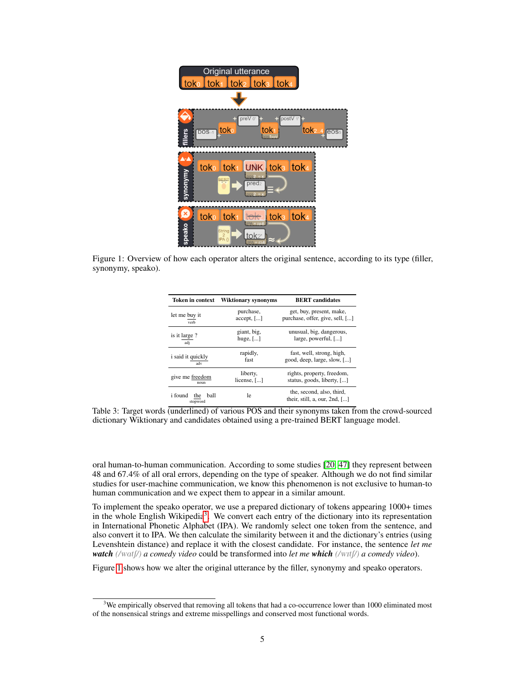<span id="page-4-2"></span>

<span id="page-4-0"></span>Figure 1: Overview of how each operator alters the original sentence, according to its type (filler, synonymy, speako).

| <b>Token in context</b>                   | <b>Wiktionary synonyms</b> | <b>BERT</b> candidates                                        |
|-------------------------------------------|----------------------------|---------------------------------------------------------------|
| let me buy it                             | purchase,                  | get, buy, present, make,                                      |
| verb                                      | $accept,$ [ $$ ]           | purchase, offer, give, sell, []                               |
| is it large?                              | giant, big.                | unusual, big, dangerous,                                      |
| adj                                       | huge, $[]$                 | large, powerful, []                                           |
| <i>i</i> said it quickly                  | rapidly,                   | fast, well, strong, high,                                     |
| adv                                       | fast                       | good, deep, large, slow, []                                   |
| give me freedom                           | liberty,                   | rights, property, freedom,                                    |
| noun                                      | license, []                | status, goods, liberty, []                                    |
| i found<br><b>ball</b><br>the<br>stopword | 1e                         | the, second, also, third,<br>their, still, a, our, $2nd$ , [] |

Table 3: Target words (underlined) of various POS and their synonyms taken from the crowd-sourced dictionary Wiktionary and candidates obtained using a pre-trained BERT language model.

oral human-to-human communication. According to some studies [\[20,](#page-10-14) [47\]](#page-12-11) they represent between 48 and 67.4% of all oral errors, depending on the type of speaker. Although we do not find similar studies for user-machine communication, we know this phenomenon is not exclusive to human-to human communication and we expect them to appear in a similar amount.

To implement the speako operator, we use a prepared dictionary of tokens appearing 1000+ times in the whole English Wikipedia<sup>[3](#page-4-1)</sup>. We convert each entry of the dictionary into its representation in International Phonetic Alphabet (IPA). We randomly select one token from the sentence, and also convert it to IPA. We then calculate the similarity between it and the dictionary's entries (using Levenshtein distance) and replace it with the closest candidate. For instance, the sentence *let me watch* (/wat[/) *a comedy video* could be transformed into *let me which* (/wit[/) *a comedy video*).

Figure [1](#page-4-2) shows how we alter the original utterance by the filler, synonymy and speako operators.

<span id="page-4-1"></span><sup>&</sup>lt;sup>3</sup>We empirically observed that removing all tokens that had a co-occurrence lower than 1000 eliminated most of the nonsensical strings and extreme misspellings and conserved most functional words.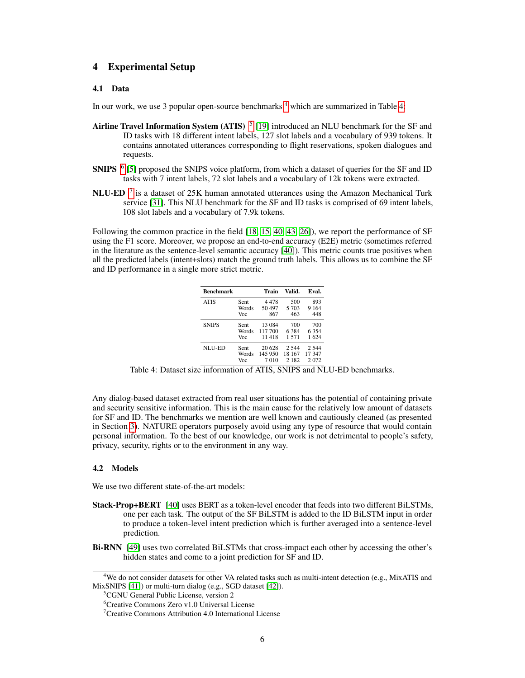# 4 Experimental Setup

#### 4.1 Data

In our work, we use 3 popular open-source benchmarks  $4$  which are summarized in Table [4:](#page-5-1)

- Airline Travel Information System (ATIS)  $<sup>5</sup>$  $<sup>5</sup>$  $<sup>5</sup>$  [\[19\]](#page-10-0) introduced an NLU benchmark for the SF and</sup> ID tasks with 18 different intent labels, 127 slot labels and a vocabulary of 939 tokens. It contains annotated utterances corresponding to flight reservations, spoken dialogues and requests.
- SNIPS <sup>[6](#page-5-3)</sup> [\[5\]](#page-10-1) proposed the SNIPS voice platform, from which a dataset of queries for the SF and ID tasks with 7 intent labels, 72 slot labels and a vocabulary of 12k tokens were extracted.
- NLU-ED  $<sup>7</sup>$  $<sup>7</sup>$  $<sup>7</sup>$  is a dataset of 25K human annotated utterances using the Amazon Mechanical Turk</sup> service [\[31\]](#page-11-16). This NLU benchmark for the SF and ID tasks is comprised of 69 intent labels, 108 slot labels and a vocabulary of 7.9k tokens.

<span id="page-5-1"></span>Following the common practice in the field [\[18,](#page-10-15) [15,](#page-10-16) [40,](#page-11-0) [43,](#page-12-12) [26\]](#page-11-17)), we report the performance of SF using the F1 score. Moreover, we propose an end-to-end accuracy (E2E) metric (sometimes referred in the literature as the sentence-level semantic accuracy [\[40\]](#page-11-0)). This metric counts true positives when all the predicted labels (intent+slots) match the ground truth labels. This allows us to combine the SF and ID performance in a single more strict metric.

| <b>Benchmark</b> |       | Train   | Valid.  | Eval.   |
|------------------|-------|---------|---------|---------|
| <b>ATIS</b>      | Sent  | 4478    | 500     | 893     |
|                  | Words | 50497   | 5 703   | 9 1 6 4 |
|                  | Voc   | 867     | 463     | 448     |
| <b>SNIPS</b>     | Sent  | 13 0 84 | 700     | 700     |
|                  | Words | 117 700 | 6384    | 6 3 5 4 |
|                  | Voc   | 11418   | 1.571   | 1 624   |
| NLU-ED           | Sent  | 20 628  | 2.544   | 2.544   |
|                  | Words | 145 950 | 18 167  | 17 347  |
|                  | Voc   | 7 0 1 0 | 2 1 8 2 | 2072    |

Table 4: Dataset size information of ATIS, SNIPS and NLU-ED benchmarks.

Any dialog-based dataset extracted from real user situations has the potential of containing private and security sensitive information. This is the main cause for the relatively low amount of datasets for SF and ID. The benchmarks we mention are well known and cautiously cleaned (as presented in Section [3\)](#page-2-0). NATURE operators purposely avoid using any type of resource that would contain personal information. To the best of our knowledge, our work is not detrimental to people's safety, privacy, security, rights or to the environment in any way.

### 4.2 Models

We use two different state-of-the-art models:

- Stack-Prop+BERT [\[40\]](#page-11-0) uses BERT as a token-level encoder that feeds into two different BiLSTMs, one per each task. The output of the SF BiLSTM is added to the ID BiLSTM input in order to produce a token-level intent prediction which is further averaged into a sentence-level prediction.
- Bi-RNN [\[49\]](#page-12-0) uses two correlated BiLSTMs that cross-impact each other by accessing the other's hidden states and come to a joint prediction for SF and ID.

<span id="page-5-0"></span><sup>&</sup>lt;sup>4</sup>We do not consider datasets for other VA related tasks such as multi-intent detection (e.g., MixATIS and MixSNIPS [\[41\]](#page-12-13)) or multi-turn dialog (e.g., SGD dataset [\[42\]](#page-12-14)).

<span id="page-5-2"></span><sup>&</sup>lt;sup>5</sup>CGNU General Public License, version 2

<span id="page-5-3"></span><sup>6</sup>Creative Commons Zero v1.0 Universal License

<span id="page-5-4"></span><sup>7</sup>Creative Commons Attribution 4.0 International License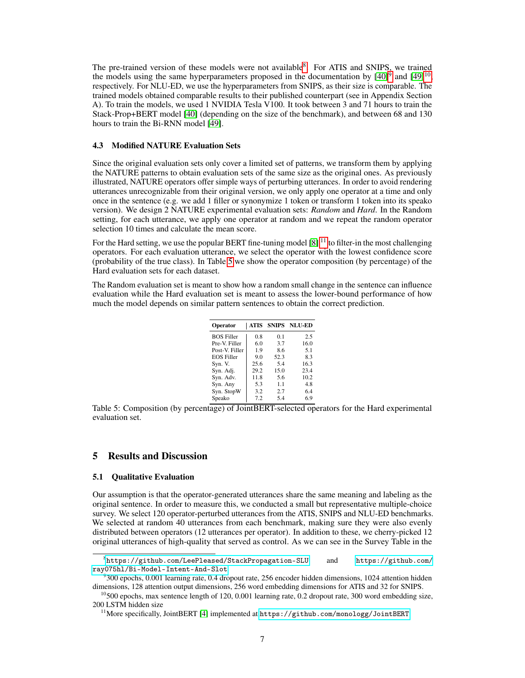The pre-trained version of these models were not available<sup>[8](#page-6-0)</sup>. For ATIS and SNIPS, we trained the models using the same hyperparameters proposed in the documentation by  $[40]^\text{9}$  $[40]^\text{9}$  $[40]^\text{9}$  $[40]^\text{9}$  and  $[49]^\text{10}$  $[49]^\text{10}$  $[49]^\text{10}$  $[49]^\text{10}$ , respectively. For NLU-ED, we use the hyperparameters from SNIPS, as their size is comparable. The trained models obtained comparable results to their published counterpart (see in Appendix Section A). To train the models, we used 1 NVIDIA Tesla V100. It took between 3 and 71 hours to train the Stack-Prop+BERT model [\[40\]](#page-11-0) (depending on the size of the benchmark), and between 68 and 130 hours to train the Bi-RNN model [\[49\]](#page-12-0).

### 4.3 Modified NATURE Evaluation Sets

Since the original evaluation sets only cover a limited set of patterns, we transform them by applying the NATURE patterns to obtain evaluation sets of the same size as the original ones. As previously illustrated, NATURE operators offer simple ways of perturbing utterances. In order to avoid rendering utterances unrecognizable from their original version, we only apply one operator at a time and only once in the sentence (e.g. we add 1 filler or synonymize 1 token or transform 1 token into its speako version). We design 2 NATURE experimental evaluation sets: *Random* and *Hard*. In the Random setting, for each utterance, we apply one operator at random and we repeat the random operator selection 10 times and calculate the mean score.

For the Hard setting, we use the popular BERT fine-tuning model  $[8]$ <sup>[11](#page-6-3)</sup> to filter-in the most challenging operators. For each evaluation utterance, we select the operator with the lowest confidence score (probability of the true class). In Table [5](#page-6-4) we show the operator composition (by percentage) of the Hard evaluation sets for each dataset.

<span id="page-6-4"></span>The Random evaluation set is meant to show how a random small change in the sentence can influence evaluation while the Hard evaluation set is meant to assess the lower-bound performance of how much the model depends on similar pattern sentences to obtain the correct prediction.

| Operator          | ATIS |      | <b>SNIPS NLU-ED</b> |
|-------------------|------|------|---------------------|
| <b>BOS Filler</b> | 0.8  | 0.1  | 2.5                 |
| Pre-V. Filler     | 6.0  | 3.7  | 16.0                |
| Post-V. Filler    | 1.9  | 8.6  | 5.1                 |
| <b>EOS Filler</b> | 9.0  | 52.3 | 8.3                 |
| Syn. V.           | 25.6 | 5.4  | 16.3                |
| Syn. Adj.         | 29.2 | 15.0 | 23.4                |
| Syn. Adv.         | 11.8 | 5.6  | 10.2                |
| Syn. Any          | 5.3  | 1.1  | 4.8                 |
| Syn. StopW        | 3.2  | 2.7  | 6.4                 |
| Speako            | 7.2  | 5.4  | 6.9                 |

Table 5: Composition (by percentage) of JointBERT-selected operators for the Hard experimental evaluation set.

### 5 Results and Discussion

#### 5.1 Qualitative Evaluation

Our assumption is that the operator-generated utterances share the same meaning and labeling as the original sentence. In order to measure this, we conducted a small but representative multiple-choice survey. We select 120 operator-perturbed utterances from the ATIS, SNIPS and NLU-ED benchmarks. We selected at random 40 utterances from each benchmark, making sure they were also evenly distributed between operators (12 utterances per operator). In addition to these, we cherry-picked 12 original utterances of high-quality that served as control. As we can see in the Survey Table in the

<span id="page-6-0"></span><sup>8</sup> <https://github.com/LeePleased/StackPropagation-SLU> and [https://github.com/](https://github.com/ray075hl/Bi-Model-Intent-And-Slot) [ray075hl/Bi-Model-Intent-And-Slot](https://github.com/ray075hl/Bi-Model-Intent-And-Slot)

<span id="page-6-1"></span><sup>9</sup> 300 epochs, 0.001 learning rate, 0.4 dropout rate, 256 encoder hidden dimensions, 1024 attention hidden dimensions, 128 attention output dimensions, 256 word embedding dimensions for ATIS and 32 for SNIPS.

<span id="page-6-2"></span> $^{10}$ 500 epochs, max sentence length of 120, 0.001 learning rate, 0.2 dropout rate, 300 word embedding size, 200 LSTM hidden size

<span id="page-6-3"></span><sup>&</sup>lt;sup>11</sup>More specifically, JointBERT [\[4\]](#page-9-3) implemented at <https://github.com/monologg/JointBERT>.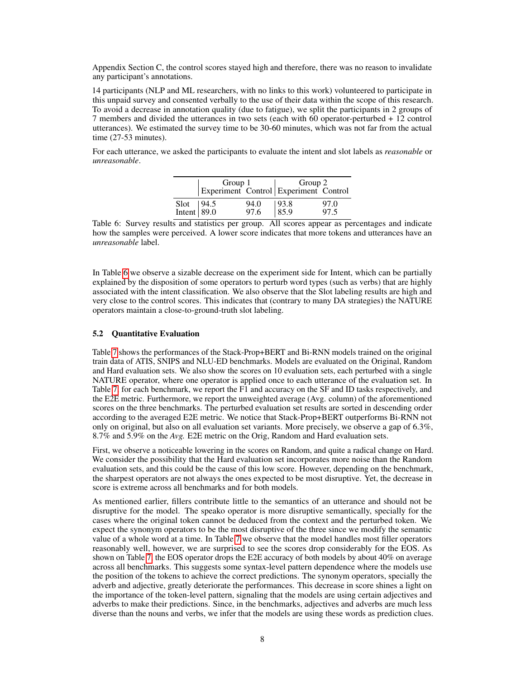Appendix Section C, the control scores stayed high and therefore, there was no reason to invalidate any participant's annotations.

14 participants (NLP and ML researchers, with no links to this work) volunteered to participate in this unpaid survey and consented verbally to the use of their data within the scope of this research. To avoid a decrease in annotation quality (due to fatigue), we split the participants in 2 groups of 7 members and divided the utterances in two sets (each with 60 operator-perturbed + 12 control utterances). We estimated the survey time to be 30-60 minutes, which was not far from the actual time (27-53 minutes).

<span id="page-7-0"></span>For each utterance, we asked the participants to evaluate the intent and slot labels as *reasonable* or *unreasonable*.

|                             | Group 1 |              | Group 2<br>Experiment Control Experiment Control |              |  |  |
|-----------------------------|---------|--------------|--------------------------------------------------|--------------|--|--|
| Slot $ 94.5$<br>Intent 89.0 |         | 94.0<br>97.6 | $\begin{array}{ c} 93.8 \\ 85.9 \end{array}$     | 97.0<br>97.5 |  |  |

Table 6: Survey results and statistics per group. All scores appear as percentages and indicate how the samples were perceived. A lower score indicates that more tokens and utterances have an *unreasonable* label.

In Table [6](#page-7-0) we observe a sizable decrease on the experiment side for Intent, which can be partially explained by the disposition of some operators to perturb word types (such as verbs) that are highly associated with the intent classification. We also observe that the Slot labeling results are high and very close to the control scores. This indicates that (contrary to many DA strategies) the NATURE operators maintain a close-to-ground-truth slot labeling.

#### 5.2 Quantitative Evaluation

Table [7](#page-8-0) shows the performances of the Stack-Prop+BERT and Bi-RNN models trained on the original train data of ATIS, SNIPS and NLU-ED benchmarks. Models are evaluated on the Original, Random and Hard evaluation sets. We also show the scores on 10 evaluation sets, each perturbed with a single NATURE operator, where one operator is applied once to each utterance of the evaluation set. In Table [7,](#page-8-0) for each benchmark, we report the F1 and accuracy on the SF and ID tasks respectively, and the E2E metric. Furthermore, we report the unweighted average (Avg. column) of the aforementioned scores on the three benchmarks. The perturbed evaluation set results are sorted in descending order according to the averaged E2E metric. We notice that Stack-Prop+BERT outperforms Bi-RNN not only on original, but also on all evaluation set variants. More precisely, we observe a gap of 6.3%, 8.7% and 5.9% on the *Avg.* E2E metric on the Orig, Random and Hard evaluation sets.

First, we observe a noticeable lowering in the scores on Random, and quite a radical change on Hard. We consider the possibility that the Hard evaluation set incorporates more noise than the Random evaluation sets, and this could be the cause of this low score. However, depending on the benchmark, the sharpest operators are not always the ones expected to be most disruptive. Yet, the decrease in score is extreme across all benchmarks and for both models.

As mentioned earlier, fillers contribute little to the semantics of an utterance and should not be disruptive for the model. The speako operator is more disruptive semantically, specially for the cases where the original token cannot be deduced from the context and the perturbed token. We expect the synonym operators to be the most disruptive of the three since we modify the semantic value of a whole word at a time. In Table [7](#page-8-0) we observe that the model handles most filler operators reasonably well, however, we are surprised to see the scores drop considerably for the EOS. As shown on Table [7,](#page-8-0) the EOS operator drops the E2E accuracy of both models by about 40% on average across all benchmarks. This suggests some syntax-level pattern dependence where the models use the position of the tokens to achieve the correct predictions. The synonym operators, specially the adverb and adjective, greatly deteriorate the performances. This decrease in score shines a light on the importance of the token-level pattern, signaling that the models are using certain adjectives and adverbs to make their predictions. Since, in the benchmarks, adjectives and adverbs are much less diverse than the nouns and verbs, we infer that the models are using these words as prediction clues.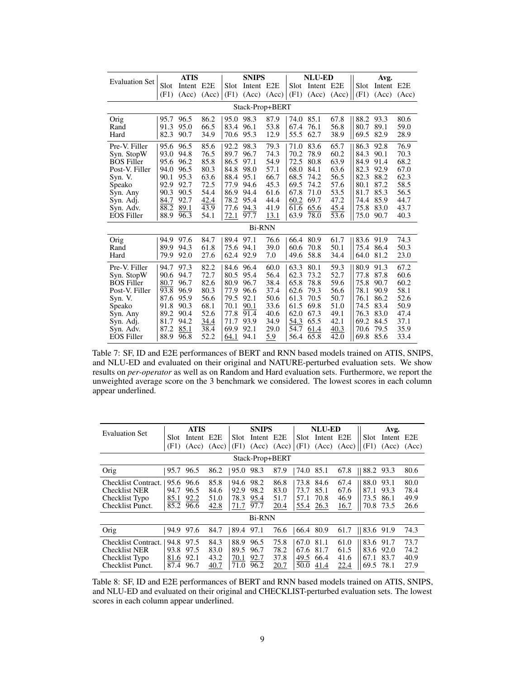<span id="page-8-0"></span>

|                       |      | <b>ATIS</b> |       |      | <b>SNIPS</b>  |       |      | <b>NLU-ED</b> |                 | Avg. |            |       |
|-----------------------|------|-------------|-------|------|---------------|-------|------|---------------|-----------------|------|------------|-------|
| <b>Evaluation Set</b> | Slot | Intent E2E  |       | Slot | Intent E2E    |       | Slot | Intent E2E    |                 | Slot | Intent E2E |       |
|                       | (F1) | (Acc)       | (Acc) | (F1) | (Acc)         | (Acc) | (F1) |               | $(Acc)$ $(Acc)$ | (F1) | (Acc)      | (Acc) |
| Stack-Prop+BERT       |      |             |       |      |               |       |      |               |                 |      |            |       |
| Orig                  | 95.7 | 96.5        | 86.2  | 95.0 | 98.3          | 87.9  | 74.0 | 85.1          | 67.8            | 88.2 | 93.3       | 80.6  |
| Rand                  | 91.3 | 95.0        | 66.5  | 83.4 | 96.1          | 53.8  | 67.4 | 76.1          | 56.8            | 80.7 | 89.1       | 59.0  |
| Hard                  | 82.3 | 90.7        | 34.9  | 70.6 | 95.3          | 12.9  | 55.5 | 62.7          | 38.9            | 69.5 | 82.9       | 28.9  |
| Pre-V. Filler         | 95.6 | 96.5        | 85.6  | 92.2 | 98.3          | 79.3  | 71.0 | 83.6          | 65.7            | 86.3 | 92.8       | 76.9  |
| Syn. StopW            | 93.0 | 94.8        | 76.5  | 89.7 | 96.7          | 74.3  | 70.2 | 78.9          | 60.2            | 84.3 | 90.1       | 70.3  |
| <b>BOS Filler</b>     | 95.6 | 96.2        | 85.8  | 86.5 | 97.1          | 54.9  | 72.5 | 80.8          | 63.9            | 84.9 | 91.4       | 68.2  |
| Post-V. Filler        | 94.0 | 96.5        | 80.3  | 84.8 | 98.0          | 57.1  | 68.0 | 84.1          | 63.6            | 82.3 | 92.9       | 67.0  |
| Syn. V.               | 90.1 | 95.3        | 63.6  | 88.4 | 95.1          | 66.7  | 68.5 | 74.2          | 56.5            | 82.3 | 88.2       | 62.3  |
| Speako                | 92.9 | 92.7        | 72.5  | 77.9 | 94.6          | 45.3  | 69.5 | 74.2          | 57.6            | 80.1 | 87.2       | 58.5  |
| Syn. Any              | 90.3 | 90.5        | 54.4  | 86.9 | 94.4          | 61.6  | 67.8 | 71.0          | 53.5            | 81.7 | 85.3       | 56.5  |
| Syn. Adj.             | 84.7 | 92.7        | 42.4  | 78.2 | 95.4          | 44.4  | 60.2 | 69.7          | 47.2            | 74.4 | 85.9       | 44.7  |
| Syn. Adv.             | 88.2 | 89.1        | 43.9  | 77.6 | 94.3          | 41.9  | 61.6 | 65.6          | 45.4            | 75.8 | 83.0       | 43.7  |
| <b>EOS Filler</b>     | 88.9 | 96.3        | 54.1  | 72.1 | 97.7          | 13.1  | 63.9 | 78.0          | 53.6            | 75.0 | 90.7       | 40.3  |
|                       |      |             |       |      | <b>Bi-RNN</b> |       |      |               |                 |      |            |       |
| Orig                  | 94.9 | 97.6        | 84.7  | 89.4 | 97.1          | 76.6  | 66.4 | 80.9          | 61.7            | 83.6 | 91.9       | 74.3  |
| Rand                  | 89.9 | 94.3        | 61.8  | 75.6 | 94.1          | 39.0  | 60.6 | 70.8          | 50.1            | 75.4 | 86.4       | 50.3  |
| Hard                  | 79.9 | 92.0        | 27.6  | 62.4 | 92.9          | 7.0   | 49.6 | 58.8          | 34.4            | 64.0 | 81.2       | 23.0  |
| Pre-V. Filler         | 94.7 | 97.3        | 82.2  | 84.6 | 96.4          | 60.0  | 63.3 | 80.1          | 59.3            | 80.9 | 91.3       | 67.2  |
| Syn. StopW            | 90.6 | 94.7        | 72.7  | 80.5 | 95.4          | 56.4  | 62.3 | 73.2          | 52.7            | 77.8 | 87.8       | 60.6  |
| <b>BOS Filler</b>     | 80.7 | 96.7        | 82.6  | 80.9 | 96.7          | 38.4  | 65.8 | 78.8          | 59.6            | 75.8 | 90.7       | 60.2  |
| Post-V. Filler        | 93.8 | 96.9        | 80.3  | 77.9 | 96.6          | 37.4  | 62.6 | 79.3          | 56.6            | 78.1 | 90.9       | 58.1  |
| Syn. V.               | 87.6 | 95.9        | 56.6  | 79.5 | 92.1          | 50.6  | 61.3 | 70.5          | 50.7            | 76.1 | 86.2       | 52.6  |
| Speako                | 91.8 | 90.3        | 68.1  | 70.1 | 90.1          | 33.6  | 61.5 | 69.8          | 51.0            | 74.5 | 83.4       | 50.9  |
| Syn. Any              | 89.2 | 90.4        | 52.6  | 77.8 | 91.4          | 40.6  | 62.0 | 67.3          | 49.1            | 76.3 | 83.0       | 47.4  |
| Syn. Adj.             | 81.7 | 94.2        | 34.4  | 71.7 | 93.9          | 34.9  | 54.3 | 65.5          | 42.1            | 69.2 | 84.5       | 37.1  |
| Syn. Adv.             | 87.2 | 85.1        | 38.4  | 69.9 | 92.1          | 29.0  | 54.7 | 61.4          | 40.3            | 70.6 | 79.5       | 35.9  |
| <b>EOS Filler</b>     | 88.9 | 96.8        | 52.2  | 64.1 | 94.1          | 5.9   | 56.4 | 65.8          | 42.0            | 69.8 | 85.6       | 33.4  |

Table 7: SF, ID and E2E performances of BERT and RNN based models trained on ATIS, SNIPS, and NLU-ED and evaluated on their original and NATURE-perturbed evaluation sets. We show results on *per-operator* as well as on Random and Hard evaluation sets. Furthermore, we report the unweighted average score on the 3 benchmark we considered. The lowest scores in each column appear underlined.

<span id="page-8-1"></span>

| <b>Evaluation Set</b>                                                             | <b>ATIS</b>                  |                              | <b>SNIPS</b>                 |                              |                              | <b>NLU-ED</b>                |                              |                              | Avg.                                                         |                              |                              |
|-----------------------------------------------------------------------------------|------------------------------|------------------------------|------------------------------|------------------------------|------------------------------|------------------------------|------------------------------|------------------------------|--------------------------------------------------------------|------------------------------|------------------------------|
|                                                                                   | Slot                         | Intent                       | E <sub>2</sub> E             | Slot                         | Intent E <sub>2</sub> E      |                              | Slot.                        | Intent E2E                   | Slot                                                         | Intent E2E                   |                              |
|                                                                                   | (F1)                         | (Acc)                        | (Acc)                        | (F1)                         |                              | $(Acc)$ $(Acc)$              | (F1)                         | $(Acc)$ $(Acc)$              | (F1)                                                         | (Acc)                        | (Acc)                        |
|                                                                                   |                              |                              |                              |                              | Stack-Prop+BERT              |                              |                              |                              |                                                              |                              |                              |
| Orig                                                                              | 95.7                         | 96.5                         | 86.2                         | 95.0                         | 98.3                         | 87.9                         | 74.0                         | 85.1                         | 67.8<br>   88.2                                              | 93.3                         | 80.6                         |
| Checklist Contract.<br><b>Checklist NER</b><br>Checklist Typo<br>Checklist Punct. | 95.6<br>94.7<br>85.1<br>85.2 | 96.6<br>96.5<br>92.2<br>96.6 | 85.8<br>84.6<br>51.0<br>42.8 | 94.6<br>92.9<br>78.3<br>71.7 | 98.2<br>98.2<br>95.4<br>97.7 | 86.8<br>83.0<br>51.7<br>20.4 | 73.8<br>73.7<br>57.1<br>55.4 | 84.6<br>85.1<br>70.8<br>26.3 | 67.4<br>88.0<br>67.6<br>87.1<br>73.5<br>46.9<br>16.7<br>70.8 | 93.1<br>93.3<br>86.1<br>73.5 | 80.0<br>78.4<br>49.9<br>26.6 |
|                                                                                   |                              |                              |                              |                              | <b>Bi-RNN</b>                |                              |                              |                              |                                                              |                              |                              |
| Orig                                                                              | 94.9                         | 97.6                         | 84.7                         | 89.4                         | 97.1                         | 76.6                         | 66.4                         | 80.9                         | 83.6 91.9<br>61.7                                            |                              | 74.3                         |
| Checklist Contract.<br><b>Checklist NER</b><br>Checklist Typo<br>Checklist Punct. | 94.8<br>93.8<br>81.6<br>87.4 | 97.5<br>97.5<br>92.1<br>96.7 | 84.3<br>83.0<br>43.2<br>40.7 | 88.9<br>89.5<br>70.1<br>71.0 | 96.5<br>96.7<br>92.7<br>96.2 | 75.8<br>78.2<br>37.8<br>20.7 | 67.0<br>67.6<br>49.5<br>50.0 | 81.1<br>81.7<br>66.4<br>41.4 | 61.0<br>83.6<br>61.5<br>83.6<br>67.1<br>41.6<br>22.4<br>69.5 | 91.7<br>92.0<br>83.7<br>78.1 | 73.7<br>74.2<br>40.9<br>27.9 |

Table 8: SF, ID and E2E performances of BERT and RNN based models trained on ATIS, SNIPS, and NLU-ED and evaluated on their original and CHECKLIST-perturbed evaluation sets. The lowest scores in each column appear underlined.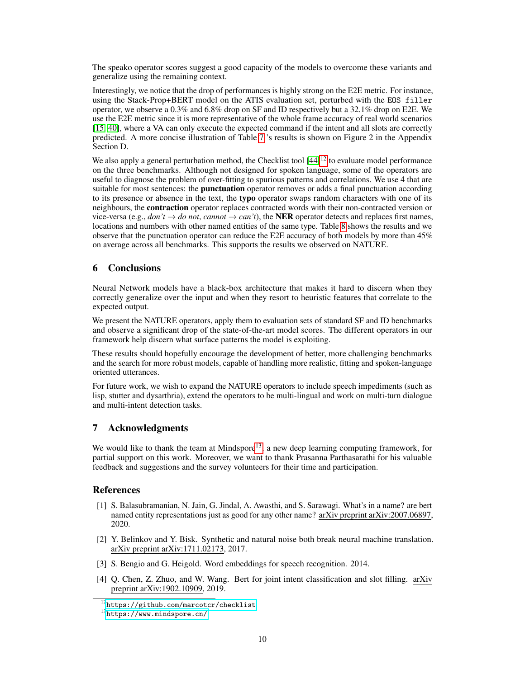The speako operator scores suggest a good capacity of the models to overcome these variants and generalize using the remaining context.

Interestingly, we notice that the drop of performances is highly strong on the E2E metric. For instance, using the Stack-Prop+BERT model on the ATIS evaluation set, perturbed with the EOS filler operator, we observe a 0.3% and 6.8% drop on SF and ID respectively but a 32.1% drop on E2E. We use the E2E metric since it is more representative of the whole frame accuracy of real world scenarios [\[15,](#page-10-16) [40\]](#page-11-0), where a VA can only execute the expected command if the intent and all slots are correctly predicted. A more concise illustration of Table [7](#page-8-0) 's results is shown on Figure 2 in the Appendix Section D.

We also apply a general perturbation method, the Checklist tool  $[44]^{12}$  $[44]^{12}$  $[44]^{12}$  $[44]^{12}$  to evaluate model performance on the three benchmarks. Although not designed for spoken language, some of the operators are useful to diagnose the problem of over-fitting to spurious patterns and correlations. We use 4 that are suitable for most sentences: the **punctuation** operator removes or adds a final punctuation according to its presence or absence in the text, the typo operator swaps random characters with one of its neighbours, the contraction operator replaces contracted words with their non-contracted version or vice-versa (e.g., *don't*  $\rightarrow$  *do not*, *cannot*  $\rightarrow$  *can't*), the **NER** operator detects and replaces first names, locations and numbers with other named entities of the same type. Table [8](#page-8-1) shows the results and we observe that the punctuation operator can reduce the E2E accuracy of both models by more than 45% on average across all benchmarks. This supports the results we observed on NATURE.

# 6 Conclusions

Neural Network models have a black-box architecture that makes it hard to discern when they correctly generalize over the input and when they resort to heuristic features that correlate to the expected output.

We present the NATURE operators, apply them to evaluation sets of standard SF and ID benchmarks and observe a significant drop of the state-of-the-art model scores. The different operators in our framework help discern what surface patterns the model is exploiting.

These results should hopefully encourage the development of better, more challenging benchmarks and the search for more robust models, capable of handling more realistic, fitting and spoken-language oriented utterances.

For future work, we wish to expand the NATURE operators to include speech impediments (such as lisp, stutter and dysarthria), extend the operators to be multi-lingual and work on multi-turn dialogue and multi-intent detection tasks.

# 7 Acknowledgments

We would like to thank the team at Mindspore<sup>[13](#page-9-5)</sup>, a new deep learning computing framework, for partial support on this work. Moreover, we want to thank Prasanna Parthasarathi for his valuable feedback and suggestions and the survey volunteers for their time and participation.

### References

- <span id="page-9-1"></span>[1] S. Balasubramanian, N. Jain, G. Jindal, A. Awasthi, and S. Sarawagi. What's in a name? are bert named entity representations just as good for any other name? arXiv preprint arXiv:2007.06897, 2020.
- <span id="page-9-0"></span>[2] Y. Belinkov and Y. Bisk. Synthetic and natural noise both break neural machine translation. arXiv preprint arXiv:1711.02173, 2017.
- <span id="page-9-2"></span>[3] S. Bengio and G. Heigold. Word embeddings for speech recognition. 2014.
- <span id="page-9-3"></span>[4] Q. Chen, Z. Zhuo, and W. Wang. Bert for joint intent classification and slot filling. arXiv preprint arXiv:1902.10909, 2019.

<span id="page-9-4"></span> $^{12}$ <https://github.com/marcotcr/checklist>

<span id="page-9-5"></span><sup>13</sup><https://www.mindspore.cn/>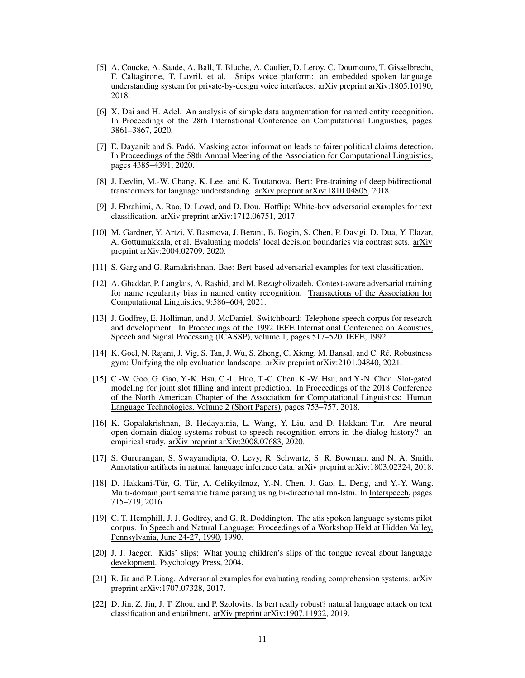- <span id="page-10-1"></span>[5] A. Coucke, A. Saade, A. Ball, T. Bluche, A. Caulier, D. Leroy, C. Doumouro, T. Gisselbrecht, F. Caltagirone, T. Lavril, et al. Snips voice platform: an embedded spoken language understanding system for private-by-design voice interfaces. arXiv preprint arXiv:1805.10190, 2018.
- <span id="page-10-10"></span>[6] X. Dai and H. Adel. An analysis of simple data augmentation for named entity recognition. In Proceedings of the 28th International Conference on Computational Linguistics, pages 3861–3867, 2020.
- <span id="page-10-5"></span>[7] E. Dayanik and S. Padó. Masking actor information leads to fairer political claims detection. In Proceedings of the 58th Annual Meeting of the Association for Computational Linguistics, pages 4385–4391, 2020.
- <span id="page-10-17"></span>[8] J. Devlin, M.-W. Chang, K. Lee, and K. Toutanova. Bert: Pre-training of deep bidirectional transformers for language understanding. arXiv preprint arXiv:1810.04805, 2018.
- <span id="page-10-3"></span>[9] J. Ebrahimi, A. Rao, D. Lowd, and D. Dou. Hotflip: White-box adversarial examples for text classification. arXiv preprint arXiv:1712.06751, 2017.
- <span id="page-10-9"></span>[10] M. Gardner, Y. Artzi, V. Basmova, J. Berant, B. Bogin, S. Chen, P. Dasigi, D. Dua, Y. Elazar, A. Gottumukkala, et al. Evaluating models' local decision boundaries via contrast sets. arXiv preprint arXiv:2004.02709, 2020.
- <span id="page-10-4"></span>[11] S. Garg and G. Ramakrishnan. Bae: Bert-based adversarial examples for text classification.
- <span id="page-10-8"></span>[12] A. Ghaddar, P. Langlais, A. Rashid, and M. Rezagholizadeh. Context-aware adversarial training for name regularity bias in named entity recognition. Transactions of the Association for Computational Linguistics, 9:586–604, 2021.
- <span id="page-10-13"></span>[13] J. Godfrey, E. Holliman, and J. McDaniel. Switchboard: Telephone speech corpus for research and development. In Proceedings of the 1992 IEEE International Conference on Acoustics, Speech and Signal Processing (ICASSP), volume 1, pages 517–520. IEEE, 1992.
- <span id="page-10-11"></span>[14] K. Goel, N. Rajani, J. Vig, S. Tan, J. Wu, S. Zheng, C. Xiong, M. Bansal, and C. Ré. Robustness gym: Unifying the nlp evaluation landscape. arXiv preprint arXiv:2101.04840, 2021.
- <span id="page-10-16"></span>[15] C.-W. Goo, G. Gao, Y.-K. Hsu, C.-L. Huo, T.-C. Chen, K.-W. Hsu, and Y.-N. Chen. Slot-gated modeling for joint slot filling and intent prediction. In Proceedings of the 2018 Conference of the North American Chapter of the Association for Computational Linguistics: Human Language Technologies, Volume 2 (Short Papers), pages 753–757, 2018.
- <span id="page-10-12"></span>[16] K. Gopalakrishnan, B. Hedayatnia, L. Wang, Y. Liu, and D. Hakkani-Tur. Are neural open-domain dialog systems robust to speech recognition errors in the dialog history? an empirical study. arXiv preprint arXiv:2008.07683, 2020.
- <span id="page-10-6"></span>[17] S. Gururangan, S. Swayamdipta, O. Levy, R. Schwartz, S. R. Bowman, and N. A. Smith. Annotation artifacts in natural language inference data. arXiv preprint arXiv:1803.02324, 2018.
- <span id="page-10-15"></span>[18] D. Hakkani-Tür, G. Tür, A. Celikyilmaz, Y.-N. Chen, J. Gao, L. Deng, and Y.-Y. Wang. Multi-domain joint semantic frame parsing using bi-directional rnn-lstm. In Interspeech, pages 715–719, 2016.
- <span id="page-10-0"></span>[19] C. T. Hemphill, J. J. Godfrey, and G. R. Doddington. The atis spoken language systems pilot corpus. In Speech and Natural Language: Proceedings of a Workshop Held at Hidden Valley, Pennsylvania, June 24-27, 1990, 1990.
- <span id="page-10-14"></span>[20] J. J. Jaeger. Kids' slips: What young children's slips of the tongue reveal about language development. Psychology Press, 2004.
- <span id="page-10-7"></span>[21] R. Jia and P. Liang. Adversarial examples for evaluating reading comprehension systems. arXiv preprint arXiv:1707.07328, 2017.
- <span id="page-10-2"></span>[22] D. Jin, Z. Jin, J. T. Zhou, and P. Szolovits. Is bert really robust? natural language attack on text classification and entailment. arXiv preprint arXiv:1907.11932, 2019.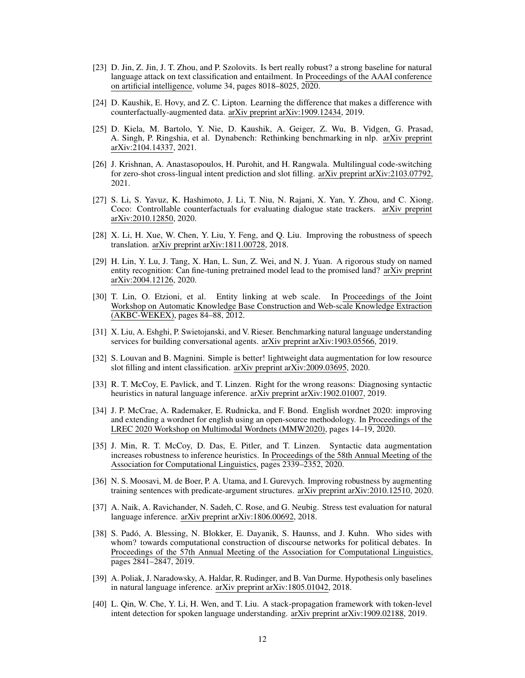- <span id="page-11-2"></span>[23] D. Jin, Z. Jin, J. T. Zhou, and P. Szolovits. Is bert really robust? a strong baseline for natural language attack on text classification and entailment. In Proceedings of the AAAI conference on artificial intelligence, volume 34, pages 8018–8025, 2020.
- <span id="page-11-7"></span>[24] D. Kaushik, E. Hovy, and Z. C. Lipton. Learning the difference that makes a difference with counterfactually-augmented data. arXiv preprint arXiv:1909.12434, 2019.
- <span id="page-11-8"></span>[25] D. Kiela, M. Bartolo, Y. Nie, D. Kaushik, A. Geiger, Z. Wu, B. Vidgen, G. Prasad, A. Singh, P. Ringshia, et al. Dynabench: Rethinking benchmarking in nlp. arXiv preprint arXiv:2104.14337, 2021.
- <span id="page-11-17"></span>[26] J. Krishnan, A. Anastasopoulos, H. Purohit, and H. Rangwala. Multilingual code-switching for zero-shot cross-lingual intent prediction and slot filling. arXiv preprint arXiv:2103.07792, 2021.
- <span id="page-11-13"></span>[27] S. Li, S. Yavuz, K. Hashimoto, J. Li, T. Niu, N. Rajani, X. Yan, Y. Zhou, and C. Xiong. Coco: Controllable counterfactuals for evaluating dialogue state trackers. arXiv preprint arXiv:2010.12850, 2020.
- <span id="page-11-12"></span>[28] X. Li, H. Xue, W. Chen, Y. Liu, Y. Feng, and Q. Liu. Improving the robustness of speech translation. arXiv preprint arXiv:1811.00728, 2018.
- <span id="page-11-6"></span>[29] H. Lin, Y. Lu, J. Tang, X. Han, L. Sun, Z. Wei, and N. J. Yuan. A rigorous study on named entity recognition: Can fine-tuning pretrained model lead to the promised land? arXiv preprint arXiv:2004.12126, 2020.
- <span id="page-11-15"></span>[30] T. Lin, O. Etzioni, et al. Entity linking at web scale. In Proceedings of the Joint Workshop on Automatic Knowledge Base Construction and Web-scale Knowledge Extraction (AKBC-WEKEX), pages 84–88, 2012.
- <span id="page-11-16"></span>[31] X. Liu, A. Eshghi, P. Swietojanski, and V. Rieser. Benchmarking natural language understanding services for building conversational agents. arXiv preprint arXiv:1903.05566, 2019.
- <span id="page-11-9"></span>[32] S. Louvan and B. Magnini. Simple is better! lightweight data augmentation for low resource slot filling and intent classification. arXiv preprint arXiv:2009.03695, 2020.
- <span id="page-11-1"></span>[33] R. T. McCoy, E. Pavlick, and T. Linzen. Right for the wrong reasons: Diagnosing syntactic heuristics in natural language inference. arXiv preprint arXiv:1902.01007, 2019.
- <span id="page-11-14"></span>[34] J. P. McCrae, A. Rademaker, E. Rudnicka, and F. Bond. English wordnet 2020: improving and extending a wordnet for english using an open-source methodology. In Proceedings of the LREC 2020 Workshop on Multimodal Wordnets (MMW2020), pages 14–19, 2020.
- <span id="page-11-10"></span>[35] J. Min, R. T. McCoy, D. Das, E. Pitler, and T. Linzen. Syntactic data augmentation increases robustness to inference heuristics. In Proceedings of the 58th Annual Meeting of the Association for Computational Linguistics, pages 2339–2352, 2020.
- <span id="page-11-11"></span>[36] N. S. Moosavi, M. de Boer, P. A. Utama, and I. Gurevych. Improving robustness by augmenting training sentences with predicate-argument structures. arXiv preprint arXiv:2010.12510, 2020.
- <span id="page-11-5"></span>[37] A. Naik, A. Ravichander, N. Sadeh, C. Rose, and G. Neubig. Stress test evaluation for natural language inference. arXiv preprint arXiv:1806.00692, 2018.
- <span id="page-11-3"></span>[38] S. Padó, A. Blessing, N. Blokker, E. Dayanik, S. Haunss, and J. Kuhn. Who sides with whom? towards computational construction of discourse networks for political debates. In Proceedings of the 57th Annual Meeting of the Association for Computational Linguistics, pages 2841–2847, 2019.
- <span id="page-11-4"></span>[39] A. Poliak, J. Naradowsky, A. Haldar, R. Rudinger, and B. Van Durme. Hypothesis only baselines in natural language inference. arXiv preprint arXiv:1805.01042, 2018.
- <span id="page-11-0"></span>[40] L. Qin, W. Che, Y. Li, H. Wen, and T. Liu. A stack-propagation framework with token-level intent detection for spoken language understanding. arXiv preprint arXiv:1909.02188, 2019.